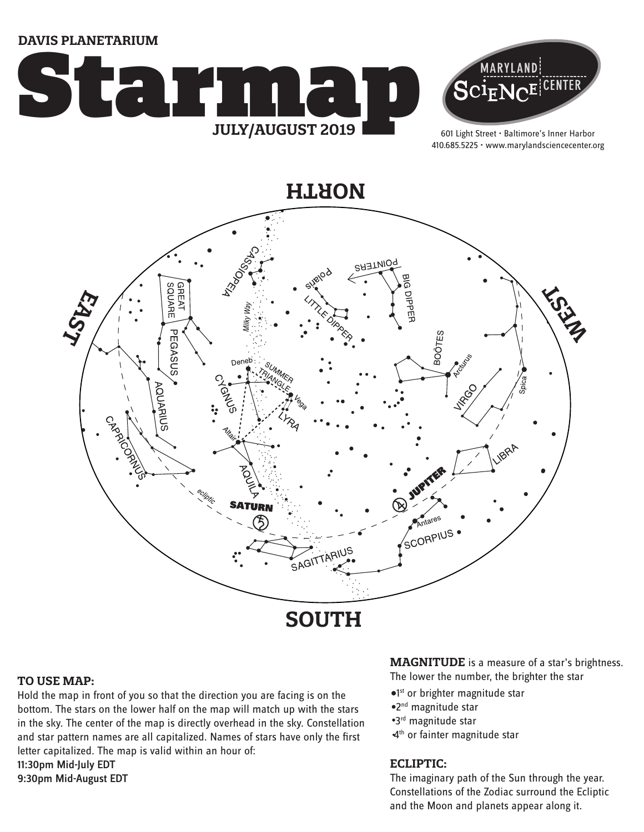**DAVIS PLANETARIUM**





601 Light Street • Baltimore's Inner Harbor 410.685.5225 • www.marylandsciencecenter.org

**NORTH**



#### **TO USE MAP:**

Hold the map in front of you so that the direction you are facing is on the bottom. The stars on the lower half on the map will match up with the stars in the sky. The center of the map is directly overhead in the sky. Constellation and star pattern names are all capitalized. Names of stars have only the first letter capitalized. The map is valid within an hour of: 11:30pm Mid-July EDT 9:30pm Mid-August EDT

**MAGNITUDE** is a measure of a star's brightness.

The lower the number, the brighter the star

- <sup>o1st</sup> or brighter magnitude star
- 2nd magnitude star
- 3rd magnitude star
- 4<sup>th</sup> or fainter magnitude star

#### **ECLIPTIC:**

The imaginary path of the Sun through the year. Constellations of the Zodiac surround the Ecliptic and the Moon and planets appear along it.